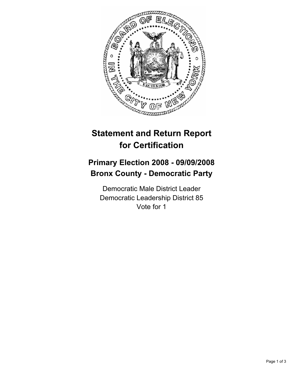

## **Statement and Return Report for Certification**

## **Primary Election 2008 - 09/09/2008 Bronx County - Democratic Party**

Democratic Male District Leader Democratic Leadership District 85 Vote for 1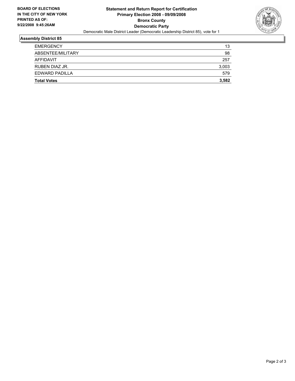

## **Assembly District 85**

| <b>Total Votes</b> | 3,582 |
|--------------------|-------|
| EDWARD PADILLA     | 579   |
| RUBEN DIAZ JR.     | 3,003 |
| AFFIDAVIT          | 257   |
| ABSENTEE/MILITARY  | 98    |
| <b>EMERGENCY</b>   | 13    |